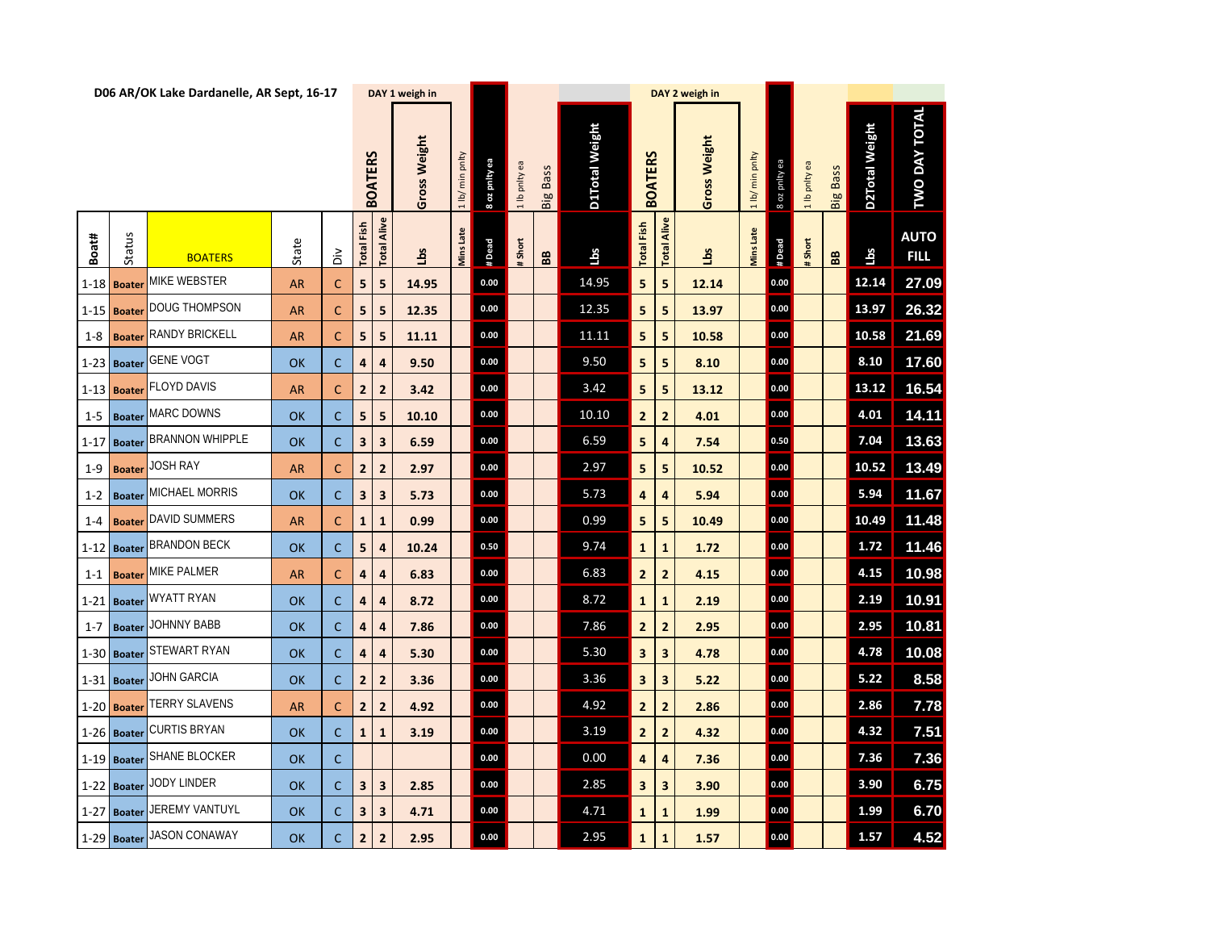|          |               |                               | D06 AR/OK Lake Dardanelle, AR Sept, 16-17<br>DAY 1 weigh in<br>DAY 2 weigh in |               |                         |                         |              |                 |               |               |                   |                |                         |                |              |                 |               |               |                 |                       |                            |
|----------|---------------|-------------------------------|-------------------------------------------------------------------------------|---------------|-------------------------|-------------------------|--------------|-----------------|---------------|---------------|-------------------|----------------|-------------------------|----------------|--------------|-----------------|---------------|---------------|-----------------|-----------------------|----------------------------|
|          |               |                               |                                                                               |               |                         | <b>BOATERS</b>          | Gross Weight | 1 lb/ min pnlty | 8 oz pnity ea | 1 lb pnlty ea | <b>Big Bass</b>   | D1Total Weight | <b>BOATERS</b>          |                | Gross Weight | 1 lb/ min pnlty | 8 oz pnity ea | 1 lb pnlty ea | <b>Big Bass</b> | <b>D2Total Weight</b> | <b>TWO DAY TOTAL</b>       |
| Boat#    | Status        | <b>BOATERS</b>                | State                                                                         | $\tilde{\Xi}$ | <b>Total Fish</b>       | Alive<br><b>Total</b>   | Lbs          | Mins Late       | #Dead         | # Short       | ${\bf B} {\bf B}$ | Lbs            | <b>Total Fish</b>       | Alive<br>Total | <u>sq1</u>   | Mins Late       | # Dead        | #Short        | B <sub>B</sub>  | Lbs                   | <b>AUTO</b><br><b>FILL</b> |
|          | 1-18 Boater   | MIKE WEBSTER                  | <b>AR</b>                                                                     | $\mathsf{C}$  | 5                       | 5                       | 14.95        |                 | 0.00          |               |                   | 14.95          | 5                       | 5              | 12.14        |                 | 0.00          |               |                 | 12.14                 | 27.09                      |
|          | 1-15 Boater   | <b>DOUG THOMPSON</b>          | <b>AR</b>                                                                     | $\mathsf{C}$  | 5                       | 5                       | 12.35        |                 | 0.00          |               |                   | 12.35          | 5                       | 5              | 13.97        |                 | 0.00          |               |                 | 13.97                 | 26.32                      |
| $1 - 8$  | <b>Boate</b>  | <b>RANDY BRICKELL</b>         | <b>AR</b>                                                                     | $\mathsf{C}$  | 5                       | 5                       | 11.11        |                 | 0.00          |               |                   | 11.11          | 5                       | 5              | 10.58        |                 | 0.00          |               |                 | 10.58                 | 21.69                      |
|          |               | 1-23 Boater GENE VOGT         | OK                                                                            | $\mathsf{C}$  | 4                       | $\overline{\mathbf{a}}$ | 9.50         |                 | 0.00          |               |                   | 9.50           | 5                       | 5              | 8.10         |                 | 0.00          |               |                 | 8.10                  | 17.60                      |
|          | 1-13 Boater   | <b>FLOYD DAVIS</b>            | <b>AR</b>                                                                     | $\mathsf{C}$  | $\overline{2}$          | $\overline{2}$          | 3.42         |                 | $0.00\,$      |               |                   | 3.42           | 5                       | 5              | 13.12        |                 | 0.00          |               |                 | 13.12                 | 16.54                      |
| $1 - 5$  |               | <b>Boater</b> MARC DOWNS      | OK                                                                            | $\mathsf{C}$  | 5                       | 5                       | 10.10        |                 | 0.00          |               |                   | 10.10          | $\overline{2}$          | $\overline{2}$ | 4.01         |                 | 0.00          |               |                 | 4.01                  | 14.11                      |
| $1 - 17$ | <b>Boater</b> | <b>BRANNON WHIPPLE</b>        | OK                                                                            | $\mathsf{C}$  | $\mathbf{3}$            | $\overline{\mathbf{3}}$ | 6.59         |                 | $0.00\,$      |               |                   | 6.59           | 5                       | 4              | 7.54         |                 | 0.50          |               |                 | 7.04                  | 13.63                      |
| $1 - 9$  | <b>Boate</b>  | <b>JOSH RAY</b>               | <b>AR</b>                                                                     | $\mathsf{C}$  | $\overline{2}$          | $\overline{2}$          | 2.97         |                 | 0.00          |               |                   | 2.97           | 5                       | 5              | 10.52        |                 | 0.00          |               |                 | 10.52                 | 13.49                      |
| $1 - 2$  |               | <b>Boater MICHAEL MORRIS</b>  | OK                                                                            | $\mathsf{C}$  | 3                       | $\overline{\mathbf{3}}$ | 5.73         |                 | 0.00          |               |                   | 5.73           | 4                       | 4              | 5.94         |                 | 0.00          |               |                 | 5.94                  | 11.67                      |
| $1 - 4$  | <b>Boater</b> | <b>DAVID SUMMERS</b>          | <b>AR</b>                                                                     | $\mathsf{C}$  | $\mathbf{1}$            | $\mathbf{1}$            | 0.99         |                 | $0.00\,$      |               |                   | 0.99           | 5                       | 5              | 10.49        |                 | 0.00          |               |                 | 10.49                 | 11.48                      |
|          |               | 1-12 Boater BRANDON BECK      | OK                                                                            | $\mathsf{C}$  | 5                       | 4                       | 10.24        |                 | $0.50\,$      |               |                   | 9.74           | $\mathbf{1}$            | $\mathbf{1}$   | 1.72         |                 | 0.00          |               |                 | 1.72                  | 11.46                      |
|          |               | 1-1 <b>Boater</b> MIKE PALMER | <b>AR</b>                                                                     | $\mathsf{C}$  | 4                       | $\overline{\mathbf{4}}$ | 6.83         |                 | $0.00\,$      |               |                   | 6.83           | $\overline{2}$          | $\overline{2}$ | 4.15         |                 | 0.00          |               |                 | 4.15                  | 10.98                      |
|          | 1-21 Boater   | <b>WYATT RYAN</b>             | OK                                                                            | $\mathsf{C}$  | 4                       | 4                       | 8.72         |                 | 0.00          |               |                   | 8.72           | $\mathbf{1}$            | $\mathbf{1}$   | 2.19         |                 | 0.00          |               |                 | 2.19                  | 10.91                      |
|          |               | 1-7 Boater JOHNNY BABB        | OK                                                                            | $\mathsf{C}$  | 4                       | $\overline{a}$          | 7.86         |                 | 0.00          |               |                   | 7.86           | 2 <sup>1</sup>          | $\mathbf{2}$   | 2.95         |                 | 0.00          |               |                 | 2.95                  | 10.81                      |
|          | $1-30$ Boater | <b>STEWART RYAN</b>           | OK                                                                            | $\mathsf{C}$  | 4                       | $\overline{\mathbf{a}}$ | 5.30         |                 | 0.00          |               |                   | 5.30           | $\overline{\mathbf{3}}$ | 3              | 4.78         |                 | 0.00          |               |                 | 4.78                  | 10.08                      |
|          |               | 1-31 Boater JOHN GARCIA       | OK                                                                            | $\mathsf{C}$  | $\overline{2}$          | $\overline{2}$          | 3.36         |                 | 0.00          |               |                   | 3.36           | 3                       | 3              | 5.22         |                 | 0.00          |               |                 | 5.22                  | 8.58                       |
|          |               | 1-20 Boater TERRY SLAVENS     | <b>AR</b>                                                                     | $\mathsf{C}$  | $\overline{2}$          | $\overline{2}$          | 4.92         |                 | 0.00          |               |                   | 4.92           | $\overline{2}$          | $\overline{2}$ | 2.86         |                 | 0.00          |               |                 | 2.86                  | 7.78                       |
|          | $1-26$ Boater | <b>CURTIS BRYAN</b>           | <b>OK</b>                                                                     | $\mathsf{C}$  | $\mathbf{1}$            | $\mathbf{1}$            | 3.19         |                 | 0.00          |               |                   | 3.19           | $\overline{2}$          | 2              | 4.32         |                 | 0.00          |               |                 | 4.32                  | 7.51                       |
|          |               | 1-19 Boater SHANE BLOCKER     | OK                                                                            | $\mathsf{C}$  |                         |                         |              |                 | 0.00          |               |                   | 0.00           | $\overline{\mathbf{a}}$ | 4              | 7.36         |                 | 0.00          |               |                 | 7.36                  | 7.36                       |
|          | $1-22$ Boater | <b>JODY LINDER</b>            | <b>OK</b>                                                                     | $\mathsf{C}$  | $\overline{\mathbf{3}}$ | $\overline{\mathbf{3}}$ | 2.85         |                 | 0.00          |               |                   | 2.85           | 3                       | 3              | 3.90         |                 | 0.00          |               |                 | 3.90                  | 6.75                       |
|          |               | 1-27 Boater JEREMY VANTUYL    | OK                                                                            | $\mathsf{C}$  | 3                       | 3                       | 4.71         |                 | 0.00          |               |                   | 4.71           | $\mathbf{1}$            | 1              | 1.99         |                 | 0.00          |               |                 | 1.99                  | 6.70                       |
|          |               | 1-29 Boater JASON CONAWAY     | <b>OK</b>                                                                     | $\mathsf{C}$  | $\overline{2}$          | $\overline{2}$          | 2.95         |                 | 0.00          |               |                   | 2.95           | $\mathbf{1}$            | $\mathbf{1}$   | 1.57         |                 | 0.00          |               |                 | 1.57                  | 4.52                       |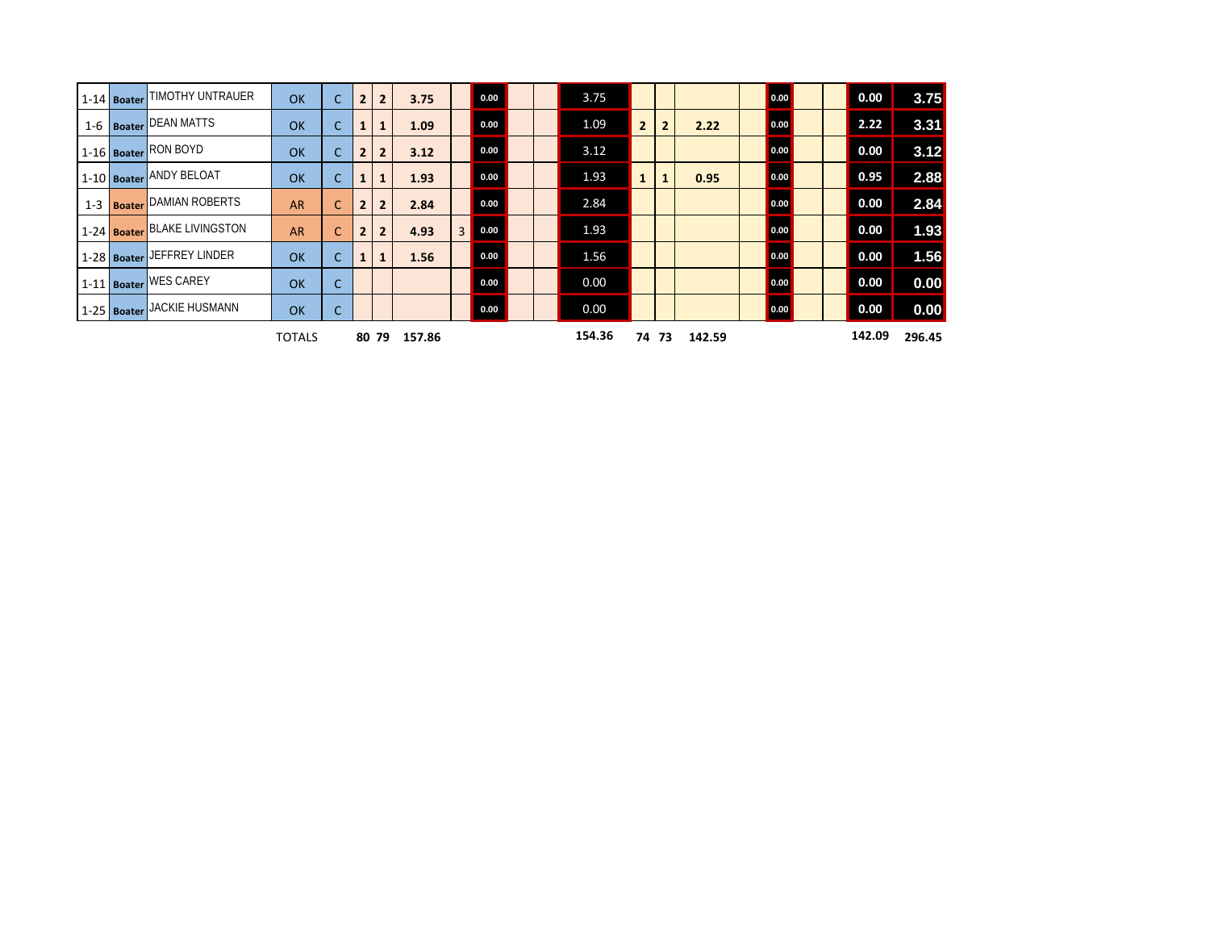|  | 1-14 Boater TIMOTHY UNTRAUER     | OK            | $\mathsf{C}$ | $\overline{2}$ | $\overline{2}$ | 3.75   |   | 0.00 |  | 3.75   |                |              |        | 0.00 |  | 0.00   | 3.75   |
|--|----------------------------------|---------------|--------------|----------------|----------------|--------|---|------|--|--------|----------------|--------------|--------|------|--|--------|--------|
|  | 1-6   Boater DEAN MATTS          | OK            | $\mathsf{C}$ |                | $\mathbf{1}$   | 1.09   |   | 0.00 |  | 1.09   | $\overline{2}$ | $\mathbf{2}$ | 2.22   | 0.00 |  | 2.22   | 3.31   |
|  | 1-16 Boater RON BOYD             | OK            | $\mathsf{C}$ | $\overline{2}$ | $\overline{2}$ | 3.12   |   | 0.00 |  | 3.12   |                |              |        | 0.00 |  | 0.00   | 3.12   |
|  | 1-10 Boater ANDY BELOAT          | OK            | $\mathsf{C}$ |                | $\mathbf{1}$   | 1.93   |   | 0.00 |  | 1.93   | $\mathbf{1}$   | 1            | 0.95   | 0.00 |  | 0.95   | 2.88   |
|  | 1-3 <b>Boater</b> DAMIAN ROBERTS | <b>AR</b>     | $\mathsf{C}$ |                | $\overline{2}$ | 2.84   |   | 0.00 |  | 2.84   |                |              |        | 0.00 |  | 0.00   | 2.84   |
|  | 1-24 Boater BLAKE LIVINGSTON     | <b>AR</b>     | $\mathsf{C}$ | $\overline{2}$ | $\overline{2}$ | 4.93   | 3 | 0.00 |  | 1.93   |                |              |        | 0.00 |  | 0.00   | 1.93   |
|  | 1-28 Boater JEFFREY LINDER       | OK            | $\mathsf{C}$ | 1              | $\mathbf{1}$   | 1.56   |   | 0.00 |  | 1.56   |                |              |        | 0.00 |  | 0.00   | 1.56   |
|  | 1-11 Boater WES CAREY            | OK            | $\mathsf{C}$ |                |                |        |   | 0.00 |  | 0.00   |                |              |        | 0.00 |  | 0.00   | 0.00   |
|  | 1-25 Boater JACKIE HUSMANN       | OK            | $\mathsf{C}$ |                |                |        |   | 0.00 |  | 0.00   |                |              |        | 0.00 |  | 0.00   | 0.00   |
|  |                                  | <b>TOTALS</b> |              |                | 80 79          | 157.86 |   |      |  | 154.36 |                | 74 73        | 142.59 |      |  | 142.09 | 296.45 |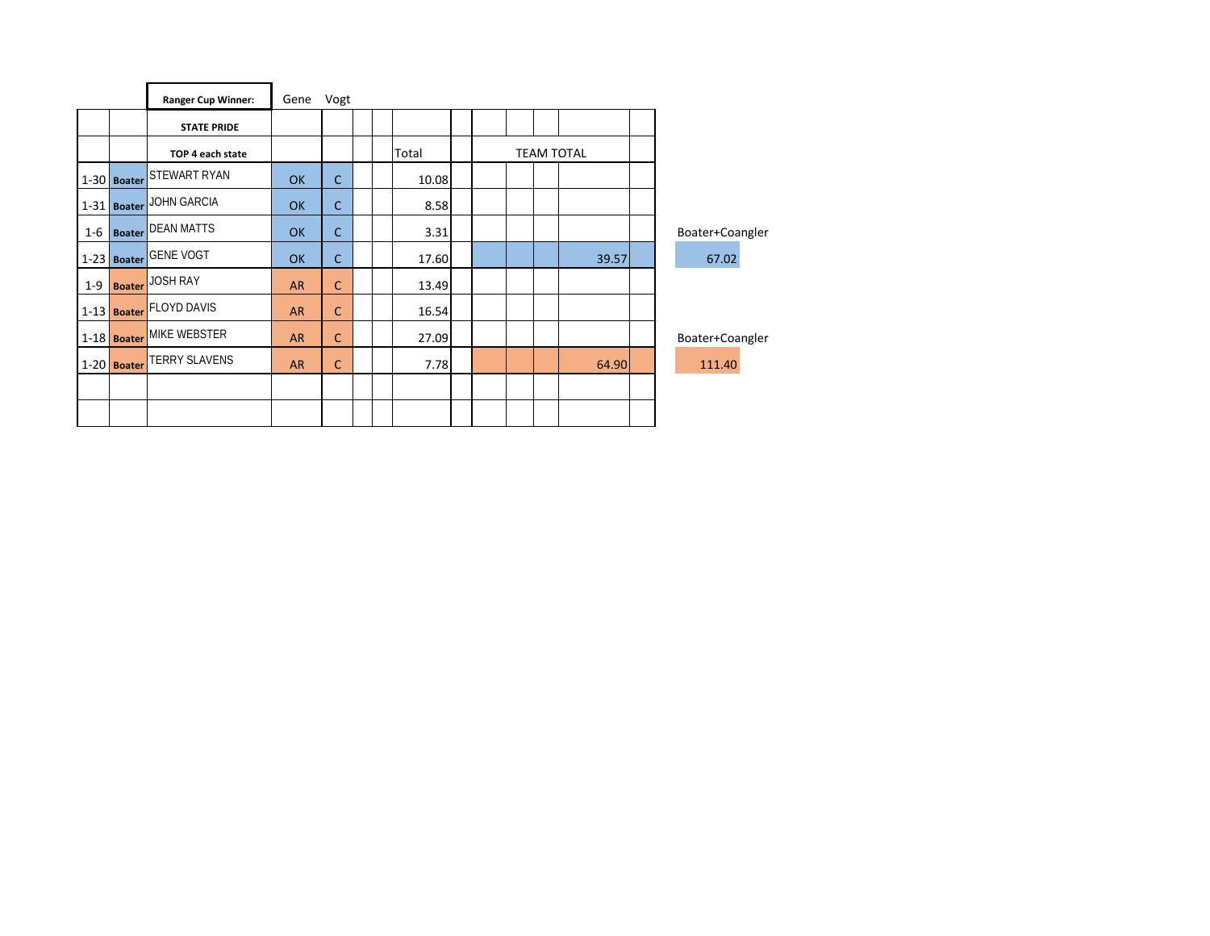|         |               | <b>Ranger Cup Winner:</b> | Gene      | Vogt         |  |       |  |  |                   |                 |
|---------|---------------|---------------------------|-----------|--------------|--|-------|--|--|-------------------|-----------------|
|         |               | <b>STATE PRIDE</b>        |           |              |  |       |  |  |                   |                 |
|         |               | TOP 4 each state          |           |              |  | Total |  |  | <b>TEAM TOTAL</b> |                 |
|         | $1-30$ Boater | STEWART RYAN              | OK        | $\mathsf{C}$ |  | 10.08 |  |  |                   |                 |
|         | $1-31$ Boater | <b>JOHN GARCIA</b>        | OK        | $\mathsf{C}$ |  | 8.58  |  |  |                   |                 |
| $1 - 6$ | <b>Boater</b> | <b>DEAN MATTS</b>         | OK        | $\mathsf{C}$ |  | 3.31  |  |  |                   | Boater+Coangler |
|         | 1-23 Boater   | <b>GENE VOGT</b>          | OK        | $\mathsf{C}$ |  | 17.60 |  |  | 39.57             | 67.02           |
| $1 - 9$ | <b>Boater</b> | <b>JOSH RAY</b>           | <b>AR</b> | Ċ            |  | 13.49 |  |  |                   |                 |
|         |               | 1-13 Boater FLOYD DAVIS   | <b>AR</b> | Ċ            |  | 16.54 |  |  |                   |                 |
|         | $1-18$ Boater | MIKE WEBSTER              | <b>AR</b> | $\mathsf{C}$ |  | 27.09 |  |  |                   | Boater+Coangler |
|         | $1-20$ Boater | <b>TERRY SLAVENS</b>      | <b>AR</b> | C            |  | 7.78  |  |  | 64.90             | 111.40          |
|         |               |                           |           |              |  |       |  |  |                   |                 |
|         |               |                           |           |              |  |       |  |  |                   |                 |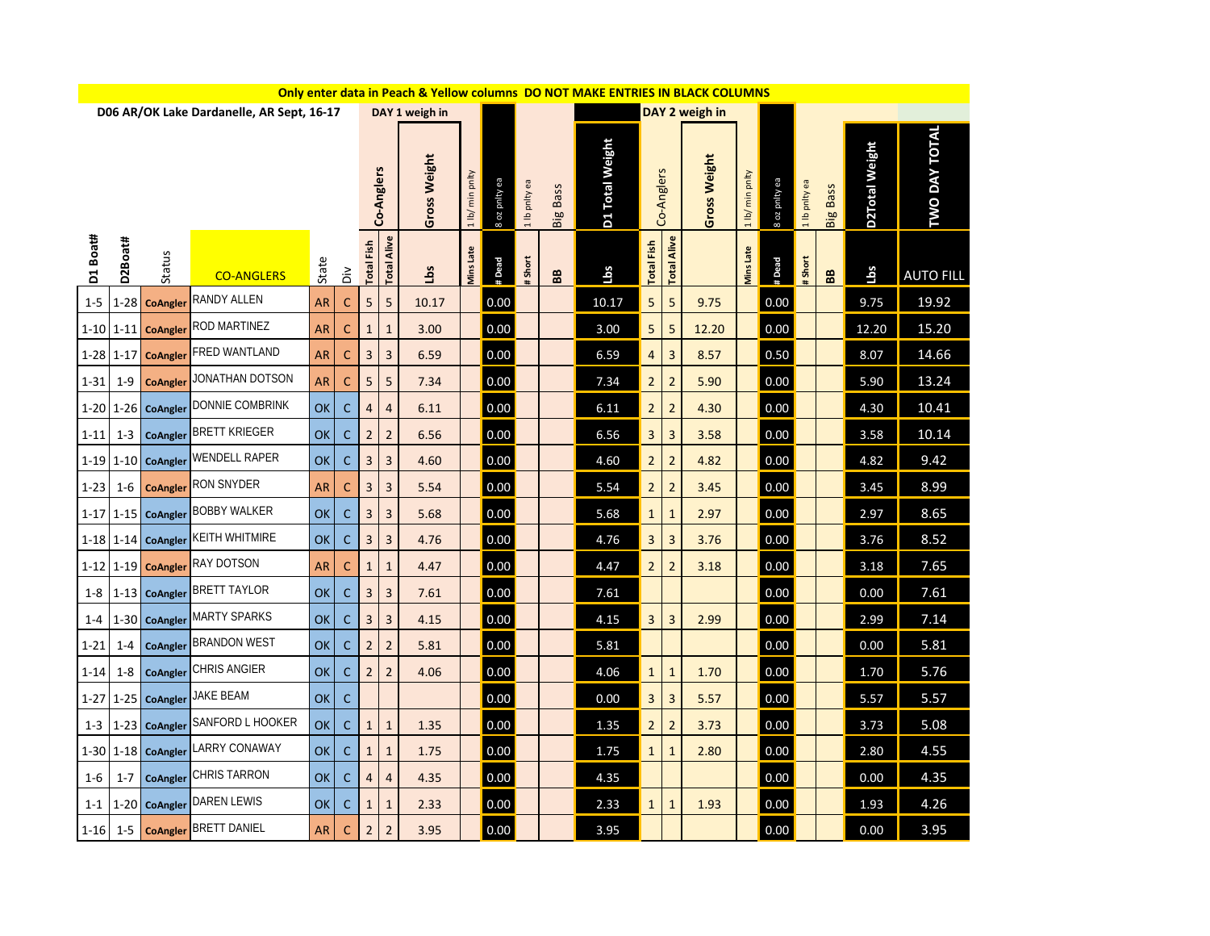|          |         |                         |                                           |                            |                            |                    |                |                |                  |                 |         |            | Only enter data in Peach & Yellow columns DO NOT MAKE ENTRIES IN BLACK COLUMNS |                 |                |                              |                    |                       |                      |    |       |                  |
|----------|---------|-------------------------|-------------------------------------------|----------------------------|----------------------------|--------------------|----------------|----------------|------------------|-----------------|---------|------------|--------------------------------------------------------------------------------|-----------------|----------------|------------------------------|--------------------|-----------------------|----------------------|----|-------|------------------|
|          |         |                         | D06 AR/OK Lake Dardanelle, AR Sept, 16-17 |                            |                            |                    |                | DAY 1 weigh in |                  |                 |         |            |                                                                                |                 |                | DAY 2 weigh in               |                    |                       |                      |    |       |                  |
|          |         |                         |                                           | Gross Weight<br>Co-Anglers |                            | min pnlty<br>1 lb/ | 8 oz pnity ea  | 1 lb pnlty ea  | <b>Big Bass</b>  | D1 Total Weight |         | Co-Anglers | Gross Weight                                                                   | 1 lb/ min pnlty | 8 oz pnity ea  | 69<br>pnlty<br>$\frac{d}{1}$ | <b>Bass</b><br>Big | <b>D2Total Weight</b> | <b>TWO DAY TOTAL</b> |    |       |                  |
| D1 Boat# | D2Boat# | Status                  | <b>CO-ANGLERS</b>                         | State                      | $\dot{\tilde{\mathsf{o}}}$ | <b>Total Fish</b>  | Alive<br>Total | <u>c</u> qT    | <b>Mins Late</b> | # Dead          | # Short | BB         | Lbs                                                                            | Fish<br>Total   | Alive<br>Total |                              | <b>Mins Late</b>   | # Dead                | # Short              | BB | Lbs   | <b>AUTO FILL</b> |
| $1 - 5$  |         | 1-28 CoAngler           | <b>RANDY ALLEN</b>                        | <b>AR</b>                  | $\mathsf{C}$               | $5\phantom{.0}$    | 5              | 10.17          |                  | 0.00            |         |            | 10.17                                                                          | 5               | 5              | 9.75                         |                    | 0.00                  |                      |    | 9.75  | 19.92            |
|          |         | 1-10 1-11 CoAngler      | ROD MARTINEZ                              | <b>AR</b>                  | $\mathsf{C}$               | $\mathbf{1}$       | $\mathbf{1}$   | 3.00           |                  | 0.00            |         |            | 3.00                                                                           | 5               | 5              | 12.20                        |                    | 0.00                  |                      |    | 12.20 | 15.20            |
|          |         | $1-28$ 1-17 CoAngler    | <b>FRED WANTLAND</b>                      | <b>AR</b>                  | $\mathsf{C}$               | $\overline{3}$     | 3              | 6.59           |                  | 0.00            |         |            | 6.59                                                                           | 4               | 3              | 8.57                         |                    | 0.50                  |                      |    | 8.07  | 14.66            |
| $1 - 31$ | $1 - 9$ | <b>CoAngler</b>         | JONATHAN DOTSON                           | <b>AR</b>                  | $\mathsf{C}$               | 5                  | 5              | 7.34           |                  | 0.00            |         |            | 7.34                                                                           | $\overline{2}$  | $\overline{2}$ | 5.90                         |                    | 0.00                  |                      |    | 5.90  | 13.24            |
|          |         |                         | 1-20 1-26 CoAngler DONNIE COMBRINK        | OK                         | $\mathsf{C}$               | 4                  | 4              | 6.11           |                  | 0.00            |         |            | 6.11                                                                           | $\overline{2}$  | 2              | 4.30                         |                    | 0.00                  |                      |    | 4.30  | 10.41            |
| $1 - 11$ | $1 - 3$ |                         | CoAngler BRETT KRIEGER                    | OK                         | $\mathsf{C}$               | $\overline{2}$     | $\overline{2}$ | 6.56           |                  | 0.00            |         |            | 6.56                                                                           | 3               | 3              | 3.58                         |                    | 0.00                  |                      |    | 3.58  | 10.14            |
|          |         | $1-19$ 1-10 CoAngler    | <b>WENDELL RAPER</b>                      | OK                         | C                          | $\mathbf{3}$       | $\mathbf{3}$   | 4.60           |                  | 0.00            |         |            | 4.60                                                                           | $\overline{2}$  | $\overline{2}$ | 4.82                         |                    | 0.00                  |                      |    | 4.82  | 9.42             |
| $1 - 23$ | $1-6$   |                         | <b>CoAngler</b> RON SNYDER                | <b>AR</b>                  | $\mathsf{C}$               | $\overline{3}$     | 3              | 5.54           |                  | 0.00            |         |            | 5.54                                                                           | $\overline{2}$  | $\overline{2}$ | 3.45                         |                    | 0.00                  |                      |    | 3.45  | 8.99             |
|          |         | $1-17$ 1-15 CoAngler    | <b>BOBBY WALKER</b>                       | OK                         | $\mathsf{C}$               | $\overline{3}$     | $\overline{3}$ | 5.68           |                  | 0.00            |         |            | 5.68                                                                           | $\mathbf{1}$    | 1              | 2.97                         |                    | 0.00                  |                      |    | 2.97  | 8.65             |
|          |         |                         | 1-18 1-14 CoAngler KEITH WHITMIRE         | OK                         | $\mathsf{C}$               | $\overline{3}$     | 3              | 4.76           |                  | 0.00            |         |            | 4.76                                                                           | 3               | 3              | 3.76                         |                    | 0.00                  |                      |    | 3.76  | 8.52             |
|          |         |                         | 1-12 1-19 CoAngler RAY DOTSON             | <b>AR</b>                  | $\mathsf{C}$               | $\mathbf{1}$       | $\mathbf{1}$   | 4.47           |                  | 0.00            |         |            | 4.47                                                                           | $\overline{a}$  | $\overline{2}$ | 3.18                         |                    | 0.00                  |                      |    | 3.18  | 7.65             |
|          |         | $1-8$   $1-13$ CoAngler | <b>BRETT TAYLOR</b>                       | OK                         | $\mathsf{C}$               | $\mathbf{3}$       | $\mathbf{3}$   | 7.61           |                  | 0.00            |         |            | 7.61                                                                           |                 |                |                              |                    | 0.00                  |                      |    | 0.00  | 7.61             |
|          |         |                         | 1-4   1-30   CoAngler MARTY SPARKS        | <b>OK</b>                  | $\mathsf{C}$               | $\overline{3}$     | $\overline{3}$ | 4.15           |                  | 0.00            |         |            | 4.15                                                                           | 3               | 3              | 2.99                         |                    | 0.00                  |                      |    | 2.99  | 7.14             |
| $1 - 21$ |         |                         | 1-4   CoAngler BRANDON WEST               | OK                         | $\mathsf C$                | $2^{\circ}$        | $\overline{2}$ | 5.81           |                  | 0.00            |         |            | 5.81                                                                           |                 |                |                              |                    | 0.00                  |                      |    | 0.00  | 5.81             |
|          |         |                         | 1-14 1-8 CoAngler CHRIS ANGIER            | OK                         | $\mathsf{C}$               | $2^{\circ}$        | $\overline{2}$ | 4.06           |                  | 0.00            |         |            | 4.06                                                                           | $\mathbf{1}$    | $\mathbf{1}$   | 1.70                         |                    | 0.00                  |                      |    | 1.70  | 5.76             |
|          |         |                         | 1-27 1-25 CoAngler JAKE BEAM              | OK                         | $\mathsf{C}$               |                    |                |                |                  | 0.00            |         |            | 0.00                                                                           | 3               | 3              | 5.57                         |                    | 0.00                  |                      |    | 5.57  | 5.57             |
|          |         |                         | 1-3   1-23   CoAngler SANFORD L HOOKER    | OK                         | $\mathsf{C}$               | $\mathbf{1}$       | $\mathbf{1}$   | 1.35           |                  | 0.00            |         |            | 1.35                                                                           | $\overline{a}$  | $\overline{2}$ | 3.73                         |                    | 0.00                  |                      |    | 3.73  | 5.08             |
|          |         |                         | 1-30 1-18 CoAngler LARRY CONAWAY          | OK                         | $\mathsf{C}$               | $\mathbf{1}$       | $\mathbf{1}$   | 1.75           |                  | 0.00            |         |            | 1.75                                                                           | $\mathbf{1}$    | $\mathbf{1}$   | 2.80                         |                    | 0.00                  |                      |    | 2.80  | 4.55             |
| $1-6$    |         |                         | 1-7 CoAngler CHRIS TARRON                 | OK                         | $\mathsf{C}$               | $\overline{4}$     | $\overline{4}$ | 4.35           |                  | 0.00            |         |            | 4.35                                                                           |                 |                |                              |                    | 0.00                  |                      |    | 0.00  | 4.35             |
|          |         |                         | 1-1   1-20   CoAngler DAREN LEWIS         | OK                         | $\mathsf{C}$               | $\mathbf{1}$       | $\mathbf{1}$   | 2.33           |                  | 0.00            |         |            | 2.33                                                                           | $\mathbf{1}$    | $\mathbf{1}$   | 1.93                         |                    | 0.00                  |                      |    | 1.93  | 4.26             |
|          |         |                         | 1-16 1-5 CoAngler BRETT DANIEL            | AR                         | $\mathsf{C}$               | $\overline{2}$     | $\overline{2}$ | 3.95           |                  | 0.00            |         |            | 3.95                                                                           |                 |                |                              |                    | 0.00                  |                      |    | 0.00  | 3.95             |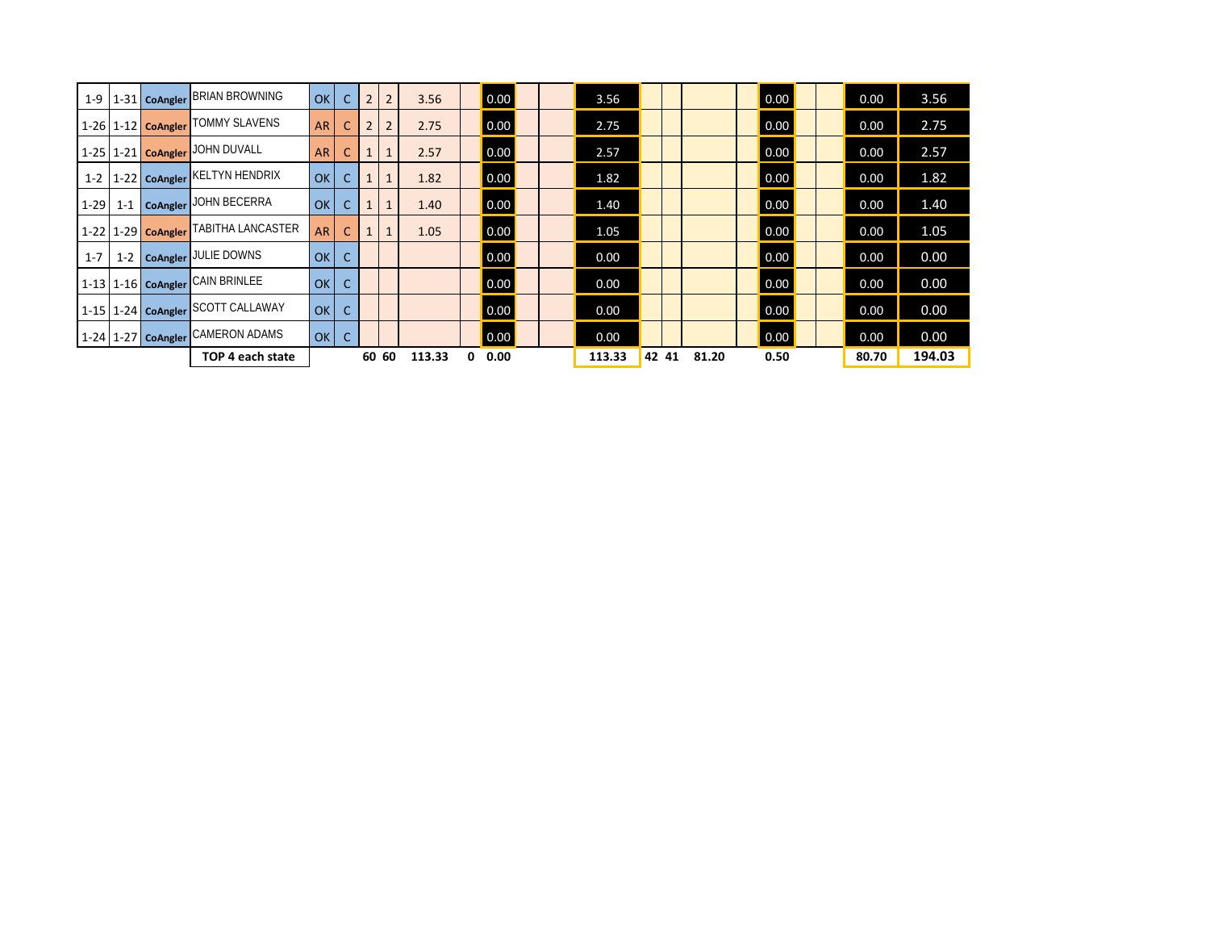| $1-9$   |  | 1-31 CoAngler BRIAN BROWNING                            | OK        | $\mathsf{C}$ | $\overline{2}$ | 2     | 3.56   |   | $\vert 0.00 \vert$ | 3.56   |       |       | $\overline{0.00}$ | 0.00  | 3.56   |
|---------|--|---------------------------------------------------------|-----------|--------------|----------------|-------|--------|---|--------------------|--------|-------|-------|-------------------|-------|--------|
|         |  | 1-26 1-12 CoAngler TOMMY SLAVENS                        | <b>AR</b> | $\mathsf{C}$ | 2              | 2     | 2.75   |   | 0.00               | 2.75   |       |       | $\overline{0.00}$ | 0.00  | 2.75   |
|         |  | 1-25   1-21   CoAngler   JOHN DUVALL                    | <b>AR</b> | C            |                |       | 2.57   |   | 0.00               | 2.57   |       |       | $\overline{0.00}$ | 0.00  | 2.57   |
| $1 - 2$ |  | 1-22 CoAngler KELTYN HENDRIX                            | OK        |              |                |       | 1.82   |   | $\vert 0.00 \vert$ | 1.82   |       |       | $\overline{0.00}$ | 0.00  | 1.82   |
| $1-29$  |  | 1-1   CoAngler JOHN BECERRA                             | <b>OK</b> |              |                |       | 1.40   |   | $\vert 0.00 \vert$ | 1.40   |       |       | $\overline{0.00}$ | 0.00  | 1.40   |
|         |  | <sup>1</sup> 1-22   1-29   Coangler   TABITHA LANCASTER | <b>AR</b> | <sub>c</sub> |                |       | 1.05   |   | $\vert 0.00 \vert$ | 1.05   |       |       | $\overline{0.00}$ | 0.00  | 1.05   |
| $1 - 7$ |  | 1-2   CoAngler JULIE DOWNS                              | OK        | C            |                |       |        |   | 0.00               | 0.00   |       |       | $\overline{0.00}$ | 0.00  | 0.00   |
|         |  | 1-13 1-16 CoAngler CAIN BRINLEE                         | OK        |              |                |       |        |   | $\vert 0.00 \vert$ | 0.00   |       |       | $\overline{0.00}$ | 0.00  | 0.00   |
|         |  | 1-15   1-24   CoAngler SCOTT CALLAWAY                   | OK        | C            |                |       |        |   | 0.00               | 0.00   |       |       | $\overline{0.00}$ | 0.00  | 0.00   |
|         |  | 1-24 1-27 CoAngler CAMERON ADAMS                        | OKC       |              |                |       |        |   | $\vert 0.00 \vert$ | 0.00   |       |       | $\overline{0.00}$ | 0.00  | 0.00   |
|         |  | TOP 4 each state                                        |           |              |                | 60 60 | 113.33 | 0 | 0.00               | 113.33 | 42 41 | 81.20 | 0.50              | 80.70 | 194.03 |